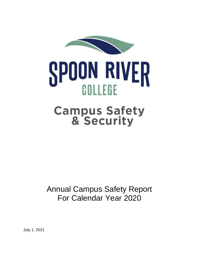

## **SPOON RIVER** COLLEGE

# Campus Safety & Security

## For Calendar Year 2020 Annual Campus Safety Report

July 1, 2021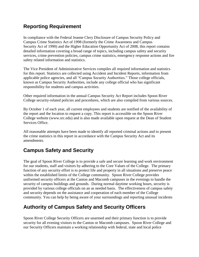### **Reporting Requirement**

 In compliance with the Federal Jeanne Clery Disclosure of Campus Security Policy and detailed information covering a broad range of topics, including campus safety and security Campus Crime Statistics Act of 1998 (formerly the Crime Awareness and Campus Security Act of 1990) and the Higher Education Opportunity Act of 2008, this report contains services, crime prevention policies, campus crime statistics, emergency response actions and fire safety related information and statistics.

 applicable police agencies, and all "Campus Security Authorities." Those college officials, The Vice President of Administrative Services compiles all required information and statistics for this report. Statistics are collected using Accident and Incident Reports, information from known as Campus Security Authorities, include any college official who has significant responsibility for students and campus activities.

Other required information in the annual Campus Security Act Report includes Spoon River College security-related policies and procedures, which are also compiled from various sources.

 Services Office. By October 1 of each year, all current employees and students are notified of the availability of the report and the location to request a copy. This report is accessible on the Spoon River College website (<www.src.edu>) and is also made available upon request at the Dean of Student

All reasonable attempts have been made to identify all reported criminal actions and to present the crime statistics in this report in accordance with the Campus Security Act and its amendments.

## **Campus Safety and Security**

 The goal of Spoon River College is to provide a safe and secure learning and work environment for our students, staff and visitors by adhering to the Core Values of the College. The primary function of any security effort is to protect life and property in all situations and preserve peace within the established limits of the College community. Spoon River College provides uniformed security officers at the Canton and Macomb campuses in the evenings to handle the security of campus buildings and grounds. During normal daytime working hours, security is provided by various college officials on an as needed basis. The effectiveness of campus safety and security depends on the assistance and cooperation of each member of the College community. You can help by being aware of your surroundings and reporting unusual incidents

## **Authority of Campus Safety and Security Officers**

Spoon River College Security Officers are unarmed and their primary function is to provide security for all evening visitors to the Canton or Macomb campuses. Spoon River College and our Security Officers maintain a working relationship with federal, state and local police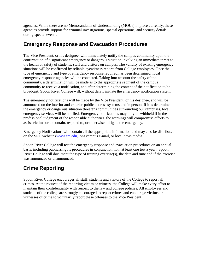agencies. While there are no Memorandums of Understanding (MOUs) in place currently, these agencies provide support for criminal investigations, special operations, and security details during special events.

#### **Emergency Response and Evacuation Procedures**

 community, a determination will be made as to the appropriate segment of the campus The Vice President, or his designee, will immediately notify the campus community upon the confirmation of a significant emergency or dangerous situation involving an immediate threat to the health or safety of students, staff and visitors on campus. The validity of existing emergency situations will be confirmed by reliable eyewitness reports from College employees. Once the type of emergency and type of emergency response required has been determined, local emergency response agencies will be contacted. Taking into account the safety of the community to receive a notification, and after determining the content of the notification to be broadcast, Spoon River College will, without delay, initiate the emergency notification system.

 assist victims or to contain, respond to, or otherwise mitigate the emergency. The emergency notifications will be made by the Vice President, or his designee, and will be announced on the interior and exterior public address systems and in person. If it is determined the emergency or dangerous situation threatens communities surrounding our campuses, local emergency services will be notified. Emergency notifications may only be withheld if in the professional judgment of the responsible authorities, the warnings will compromise efforts to

Emergency Notifications will contain all the appropriate information and may also be distributed on the SRC website [\(www.src.edu\)](http://www.src.edu/), via campus e-mail, or local news media.

 was announced or unannounced. Spoon River College will test the emergency response and evacuation procedures on an annual basis, including publicizing its procedures in conjunction with at least one test a year. Spoon River College will document the type of training exercise(s), the date and time and if the exercise

## **Crime Reporting**

 Spoon River College encourages all staff, students and visitors of the College to report all students of the college are strongly encouraged to report crimes and encourage victims or crimes. At the request of the reporting victim or witness, the College will make every effort to maintain their confidentiality with respect to the law and college policies. All employees and witnesses of crime to voluntarily report these offenses to the Vice President.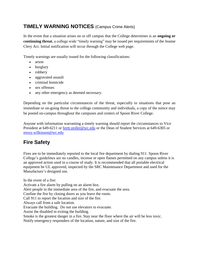### **TIMELY WARNING NOTICES** (Campus Crime Alerts)

 **continuing threat**, a college wide "timely warning" may be issued per requirements of the Jeanne Clery Act. Initial notification will occur through the College web page. In the event that a situation arises on or off campus that the College determines is an **ongoing or** 

Timely warnings are usually issued for the following classifications:

- arson
- burglary
- robbery
- aggravated assault
- criminal homicide
- sex offenses
- any other emergency as deemed necessary.

 Depending on the particular circumstances of the threat, especially in situations that pose an immediate or on-going threat to the college community and individuals, a copy of the notice may be posted on-campus throughout the campuses and centers of Spoon River College.

President at 649-6211 or **brett.stoller@src.edu** or the Dean of Student Services at 649-6305 or [missy.wilkinson@src.edu](mailto:missy.wilkinson@src.edu) Anyone with information warranting a timely warning should report the circumstances to Vice

## **Fire Safety**

 College's guidelines are no candles, incense or open flames permitted on any campus unless it is equipment be UL approved, inspected by the SRC Maintenance Department and used for the Fires are to be immediately reported to the local fire department by dialing 911. Spoon River an approved action used in a course of study. It is recommended that all portable electrical Manufacture's designed use.

 Call 911 to report the location and size of the fire. Smoke is the greatest danger in a fire. Stay near the floor where the air will be less toxic. In the event of a fire: Activate a fire alarm by pulling on an alarm box. Alert people in the immediate area of the fire, and evacuate the area. Confine the fire by closing doors as you leave the room. Always call from a safe location. Evacuate the building. Do not use elevators to evacuate. Assist the disabled in exiting the building. Notify emergency responders of the location, nature, and size of the fire.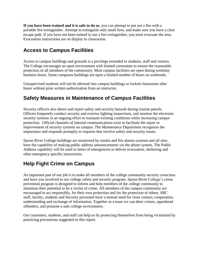portable fire extinguisher. Attempt to extinguish only small fires, and make sure you have a clear escape path. If you have not been trained to use a fire extinguisher, you must evacuate the area. **If you have been trained and it is safe to do so**, you can attempt to put out a fire with a Evacuation instructions are on display in classrooms.

#### **Access to Campus Facilities**

Access to campus buildings and grounds is a privilege extended to students, staff and visitors. The College encourages an open environment with limited constraints to ensure the reasonable protection of all members of the community. Most campus facilities are open during weekday business hours. Some campuses buildings are open a limited number of hours on weekends.

Unsupervised students will not be allowed into campus buildings or locked classrooms after hours without prior written authorization from an instructor.

#### **Safety Measures in Maintenance of Campus Facilities**

 security systems in an ongoing effort to maintain existing conditions while increasing campus improvement of security systems on campus. The Maintenance Department recognizes the importance and responds promptly to requests that involve safety and security issues. Security officers also detect and report safety and security hazards during routine patrols. Officers frequently conduct security and exterior lighting inspections, and monitor the electronic protection. Official channels of internal communications exist to facilitate the repair or

Spoon River College buildings are monitored by smoke and fire alarms systems and all sites have the capability of making public address announcements via the phone system. The Public Address capability will be used in times of emergencies to deliver evacuation, sheltering and other emergency specific instructions.

#### **Help Fight Crime on Campus**

 An important part of our job is to make all members of the college community security conscious minimize their potential to be a victim of crime. All members of the campus community are understanding and exchange of information. Together as a team we can deter crimes, apprehend and have you involved in our college safety and security program. Spoon River College's crime prevention program is designed to inform and help members of the college community to encouraged to act responsibly, for their own protection and for the protection of others. SRC staff, faculty, students and Security personnel have a mutual need for close contact, cooperation, offenders, and promote a safe college environment.

Our customers, students, and staff can help us by protecting themselves from being victimized by practicing precautions suggested in this report.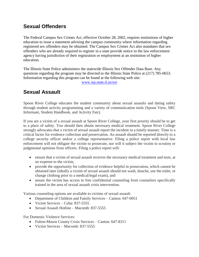### **Sexual Offenders**

 education to issue a statement advising the campus community where information regarding The Federal Campus Sex Crimes Act, effective October 28, 2002, requires institutions of higher registered sex offenders may be obtained. The Campus Sex Crimes Act also mandates that sex offenders who are already required to register in a state provide notice to the law enforcement agency having jurisdiction of their registration or employment at an institution of higher education.

Information regarding this program can be found at the following web site:<br>www.isp.state.il.us/sor The Illinois State Police administers the statewide Illinois Sex Offender Data Base. Any questions regarding the program may be directed to the Illinois State Police at (217) 785-0653.

## **Sexual Assault**

 Spoon River College educates the student community about sexual assaults and dating safety through student activity programming and a variety of communication tools (Spoon View, SRC Informant, Student Handbook, and Activity Fair).

 If you are a victim of a sexual assault at Spoon River College, your first priority should be to get to a place of safety. You should then obtain necessary medical treatment. Spoon River College strongly advocates that a victim of sexual assault report the incident in a timely manner. Time is a college security officer and/or a college representative. Filing a police report with local law enforcement will not obligate the victim to prosecute, nor will it subject the victim to scrutiny or critical factor for evidence collection and preservation. An assault should be reported directly to a judgmental opinions from officers. Filing a police report will:

- ensure that a victim of sexual assault receives the necessary medical treatment and tests, at no expense to the victim,
- obtained later (ideally a victim of sexual assault should not wash, douche, use the toilet, or provide the opportunity for collection of evidence helpful in prosecution, which cannot be change clothing prior to a medical/legal exam), and
- assure the victim has access to free confidential counseling from counselors specifically trained in the area of sexual assault crisis intervention.

Various counseling options are available to victims of sexual assault:

- Department of Children and Family Services Canton: 647-0051
- Victim Services Cuba: 837-5555
- Sexual Assault Hotline Macomb: 837-5555

For Domestic Violence Services:

- Fulton-Mason County Crisis Services Canton: 647-8311
- Victim Services Macomb: 837-5555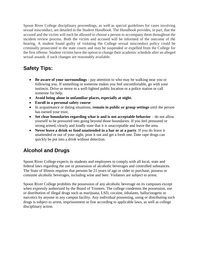Spoon River College disciplinary proceedings, as well as special guidelines for cases involving accused and the victim will each be allowed to choose a person to accompany them throughout the incident review process. Both the victim and accused will be informed of the outcome of the hearing. A student found guilty of violating the College sexual misconduct policy could be criminally prosecuted in the state courts and may be suspended or expelled from the College for the first offense. Student victims have the option to change their academic schedule after an alleged sexual misconduct, are detailed in the *Student Handbook*. The *Handbook* provides, in part, that the sexual assault, if such changes are reasonably available.

## **Safety Tips:**

- **Be aware of your surroundings**  pay attention to who may be walking near you or instincts. Drive or move to a well-lighted public location or a police station or call someone for help. following you. If something or someone makes you feel uncomfortable, go with your
- **Avoid being alone in unfamiliar places, especially at night.**
- **Enroll in a personal safety course**
- In acquaintance or dating situations, **remain in public or group settings** until the person has earned your trust.
- Set clear boundaries regarding what is and is not acceptable behavior do not allow yourself to be pressured into going beyond those boundaries. If you feel pressured or strong armed, clearly and loudly state that it is unacceptable and leave the area.
- **Never leave a drink or food unattended in a bar or at a party**. If you do leave it unattended or out of your sight, pour it out and get a fresh one. Date rape drugs can quickly be put into a drink without detection.

## **Alcohol and Drugs**

Spoon River College expects its students and employees to comply with all local, state and federal laws regarding the use or possession of alcoholic beverages and controlled substances. The State of Illinois requires that persons be 21 years of age or older to purchase, possess or consume alcoholic beverages, including wine and beer. Violators are subject to arrest.

 disciplinary action. Spoon River College prohibits the possession of any alcoholic beverage on its campuses except when expressly authorized by the Board of Trustees. The college condemns the possession, use or distribution of illegal drugs such as marijuana, LSD, cocaine, inhalants, hallucinogens or narcotics by anyone in any campus facility. Any individual possessing, using or distributing such drugs is subject to arrest, imprisonment or fine according to applicable laws, as well as college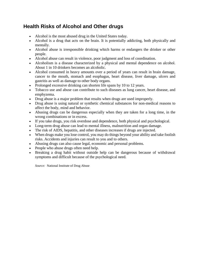### **Health Risks of Alcohol and Other drugs**

- Alcohol is the most abused drug in the United States today.
- Alcohol is a drug that acts on the brain. It is potentially addicting, both physically and mentally.
- Alcohol abuse is irresponsible drinking which harms or endangers the drinker or other people.
- Alcohol abuse can result in violence, poor judgment and loss of coordination.
- Alcoholism is a disease characterized by a physical and mental dependence on alcohol. About 1 in 10 drinkers becomes an alcoholic.
- Alcohol consumed in heavy amounts over a period of years can result in brain damage, cancer to the mouth, stomach and esophagus, heart disease, liver damage, ulcers and gastritis as well as damage to other body organs.
- Prolonged excessive drinking can shorten life spans by 10 to 12 years.
- Tobacco use and abuse can contribute to such diseases as lung cancer, heart disease, and emphyzema.
- Drug abuse is a major problem that results when drugs are used improperly.
- Drug abuse is using natural or synthetic chemical substances for non-medical reasons to affect the body, mind and behavior.
- Abusing drugs can be dangerous especially when they are taken for a long time, in the wrong combinations or in excess.
- If you take drugs, you risk overdose and dependence, both physical and psychological.
- Long-term drug abuse can lead to mental illness, malnutrition and organ damage.
- The risk of AIDS, hepatitis, and other diseases increases if drugs are injected.
- When drugs make you lose control, you may do things beyond your ability and take foolish risks. Accidents and injuries can result to you and to others.
- Abusing drugs can also cause legal, economic and personal problems.
- People who abuse drugs often need help.
- Breaking a drug habit without outside help can be dangerous because of withdrawal symptoms and difficult because of the psychological need.

*Source:* National Institute of Drug Abuse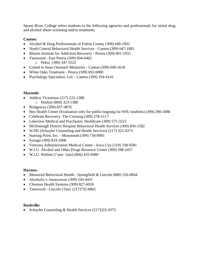Spoon River College refers students to the following agencies and professionals for initial drug and alcohol abuse screening and/or treatment;

#### **Canton:**

- Alcohol & Drug Professionals of Fulton County (309) 649-1002
- North Central Behavioral Health Services Canton (309) 647-1881
- Illinois Institute for Addiction Recovery Peoria (309) 691-1055
- Tazewood East Peoria (309) 694-6462
	- o Pekin (309) 347-5522
- United in Jesus Outreach Ministries Canton (309) 649-1618
- White Oaks Treatment Peoria (309) 692-6900
- Psychology Specialists, Ltd. Canton (309) 354-4143

#### **Macomb:**

- Addicts Victorious (217) 223-1388
	- o Hotline (800) 323-1388
- Bridgeway (309) 837-4876
- Beu Health Center (Evaluation only for public/ongoing for WIU students) (309) 298-1888
- Celebrate Recovery- The Crossing (309) 278-5117
- Lakeview Medical and Psychiatric Healthcare (309) 575-3222
- McDonough District Hospital Behavioral Health Services (309) 836-1582
- SCHS (Schuyler Counseling and Health Services) (217) 322-4373
- Starting Point, Inc. Monmouth (309) 734-8991
- Synago (309) 833-2008
- Veterans Administration Medical Center Iowa City (319) 338-0581
- W.I.U. Alcohol and Other Drugs Resource Center (309) 298-2457
- W.I.U. Hotline (7 pm- 1am) (866) 435-0480

#### **Havana:**

- Memorial Behavioral Health Springfield & Lincoln (800) 526-0844
- Alcoholic's Anonymous (309) 543-4431
- Chestnut Health Systems (309) 827-6026
- Tazewood Lincoln Clinic (217)732-6865

#### **Rushville:**

• Schuyler Counseling & Health Services (217)322-4373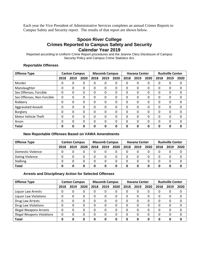Each year the Vice President of Administrative Services completes an annual Crimes Reports to Campus Safety and Security report. The results of that report are shown below.

#### **Spoon River College Crimes Reported to Campus Safety and Security Calendar Year 2019**

Reported according to Uniform Crime Report procedures and the Jeanne Clery Disclosure of Campus Security Policy and Campus Crime Statistics Act.

#### **Reportable Offenses**

| <b>Offense Type</b>        | <b>Canton Campus</b> |          |              | <b>Macomb Campus</b> |      |              |          | <b>Havana Center</b> |          | <b>Rushville Center</b> |      |          |
|----------------------------|----------------------|----------|--------------|----------------------|------|--------------|----------|----------------------|----------|-------------------------|------|----------|
|                            | 2018                 | 2019     | 2020         | 2018                 | 2019 | 2020         | 2018     | 2019                 | 2020     | 2018                    | 2019 | 2020     |
| Murder                     | 0                    | 0        | 0            | 0                    | 0    | 0            | 0        | 0                    | 0        | 0                       | 0    | 0        |
| Manslaughter               | 0                    | 0        | 0            | 0                    | 0    | $\mathbf{0}$ | 0        | 0                    | 0        | 0                       | 0    | 0        |
| Sex Offenses, Forcible     | 0                    | $\Omega$ | 0            | 0                    | 0    | 0            | $\Omega$ | $\Omega$             | 0        | 0                       | 0    | 0        |
| Sex Offenses, Non-Forcible | 0                    | 0        | 0            | 0                    | 0    | 0            | 0        | $\Omega$             | 0        | 0                       | 0    | 0        |
| Robbery                    | 0                    | 0        | 0            | 0                    | 0    | 0            | 0        | 0                    | 0        | 0                       | 0    | 0        |
| <b>Aggravated Assault</b>  | 0                    | 0        | 0            | 0                    | 0    | 0            | 0        | $\Omega$             | 0        | 0                       | 0    | 0        |
| <b>Burglary</b>            | 0                    | 0        | 0            | 0                    | 0    | $\mathbf{0}$ | 0        | 0                    | 0        | 0                       | 0    | 0        |
| <b>Motor Vehicle Theft</b> | 0                    | 0        | 0            | 0                    | 0    | 0            | 0        | 0                    | 0        | 0                       | 0    | 0        |
| Arson                      | 0                    | 0        | $\mathbf{0}$ | 0                    | 0    | $\Omega$     | 0        | $\Omega$             | $\Omega$ | 0                       | 0    | $\Omega$ |
| <b>Total</b>               | 0                    | 0        | 0            | 0                    | 0    | 0            | 0        | 0                    | 0        | ი                       | 0    | Ω        |

#### **New Reportable Offenses Based on VAWA Amendments**

| <b>Offense Type</b> | <b>Canton Campus</b> |      |      | <b>Macomb Campus</b> |      |      |      | <b>Havana Center</b> |      | <b>Rushville Center</b> |      |      |
|---------------------|----------------------|------|------|----------------------|------|------|------|----------------------|------|-------------------------|------|------|
|                     | 2018                 | 2019 | 2020 | 2018                 | 2019 | 2020 | 2018 | 2019                 | 2020 | 2018                    | 2019 | 2020 |
| Domestic Violence   |                      |      | 0    |                      |      | 0    |      |                      |      |                         |      |      |
| Dating Violence     |                      |      | 0    | O                    | 0    | 0    |      |                      | 0    |                         |      |      |
| <b>Stalking</b>     | 0                    |      | 0    | 0                    |      | 0    |      |                      | 0    |                         |      |      |
| <b>Total</b>        |                      |      | 0    |                      | 0    | 0    |      |                      | O    |                         |      |      |

#### **Arrests and Disciplinary Action for Selected Offenses**

| <b>Offense Type</b>               | <b>Canton Campus</b> |      |          | <b>Macomb Campus</b> |      |      | <b>Havana Center</b> |      |          | <b>Rushville Center</b> |      |      |
|-----------------------------------|----------------------|------|----------|----------------------|------|------|----------------------|------|----------|-------------------------|------|------|
|                                   | 2018                 | 2019 | 2020     | 2018                 | 2019 | 2020 | 2018                 | 2019 | 2020     | 2018                    | 2019 | 2020 |
| Liquor Law Arrests                |                      |      | 0        |                      | 0    | 0    |                      | 0    | 0        | Ω                       | 0    | 0    |
| <b>Liquor Law Violations</b>      |                      | 0    | 0        | 0                    | 0    | 0    | 0                    | 0    | 0        | 0                       | 0    | 0    |
| Drug Law Arrests                  |                      |      | $\Omega$ | <sup>0</sup>         | 0    | 0    | ∩                    | O    | 0        | 0                       | 0    | 0    |
| <b>Drug Law Violations</b>        |                      |      | $\Omega$ | <sup>0</sup>         | 0    | 0    | ∩                    | O    | $\Omega$ | 0                       | 0    | 0    |
| <b>Illegal Weapons Arrests</b>    |                      |      | $\Omega$ | $\Omega$             | 0    | 0    | O                    | O    | $\Omega$ | 0                       | 0    | 0    |
| <b>Illegal Weapons Violations</b> | 0                    | 0    | 0        | 0                    | 0    | 0    |                      | 0    | 0        | 0                       | 0    | 0    |
| <b>Total</b>                      | Ω                    | 0    | 0        | O                    | 0    | 0    | 0                    | O    | 0        | 0                       | O    | 0    |